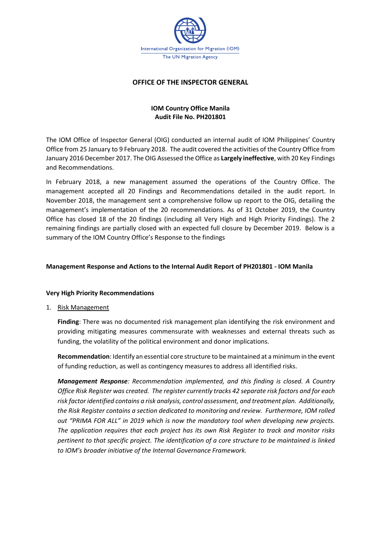

# **OFFICE OF THE INSPECTOR GENERAL**

# **IOM Country Office Manila Audit File No. PH201801**

The IOM Office of Inspector General (OIG) conducted an internal audit of IOM Philippines' Country Office from 25 January to 9 February 2018. The audit covered the activities of the Country Office from January 2016 December 2017. The OIG Assessed the Office as **Largely ineffective**, with 20 Key Findings and Recommendations.

In February 2018, a new management assumed the operations of the Country Office. The management accepted all 20 Findings and Recommendations detailed in the audit report. In November 2018, the management sent a comprehensive follow up report to the OIG, detailing the management's implementation of the 20 recommendations. As of 31 October 2019, the Country Office has closed 18 of the 20 findings (including all Very High and High Priority Findings). The 2 remaining findings are partially closed with an expected full closure by December 2019. Below is a summary of the IOM Country Office's Response to the findings

## **Management Response and Actions to the Internal Audit Report of PH201801 - IOM Manila**

### **Very High Priority Recommendations**

1. Risk Management

**Finding**: There was no documented risk management plan identifying the risk environment and providing mitigating measures commensurate with weaknesses and external threats such as funding, the volatility of the political environment and donor implications.

**Recommendation**: Identify an essential core structure to be maintained at a minimum in the event of funding reduction, as well as contingency measures to address all identified risks.

*Management Response: Recommendation implemented, and this finding is closed. A Country Office Risk Register was created. The register currently tracks 42 separate risk factors and for each risk factor identified contains a risk analysis, control assessment, and treatment plan. Additionally, the Risk Register contains a section dedicated to monitoring and review. Furthermore, IOM rolled out "PRIMA FOR ALL" in 2019 which is now the mandatory tool when developing new projects. The application requires that each project has its own Risk Register to track and monitor risks pertinent to that specific project. The identification of a core structure to be maintained is linked to IOM's broader initiative of the Internal Governance Framework.*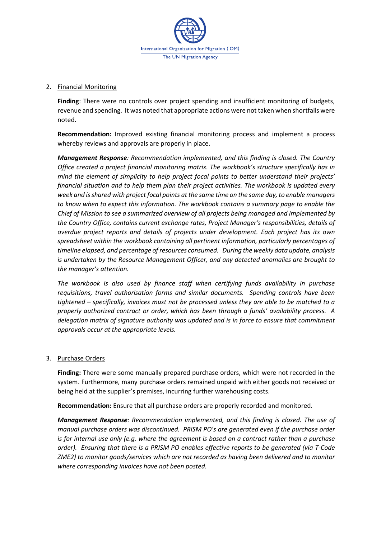

#### 2. Financial Monitoring

**Finding**: There were no controls over project spending and insufficient monitoring of budgets, revenue and spending. It was noted that appropriate actions were not taken when shortfalls were noted.

**Recommendation:** Improved existing financial monitoring process and implement a process whereby reviews and approvals are properly in place.

*Management Response: Recommendation implemented, and this finding is closed. The Country Office created a project financial monitoring matrix. The workbook's structure specifically has in mind the element of simplicity to help project focal points to better understand their projects' financial situation and to help them plan their project activities. The workbook is updated every week and is shared with project focal points at the same time on the same day, to enable managers to know when to expect this information. The workbook contains a summary page to enable the Chief of Mission to see a summarized overview of all projects being managed and implemented by the Country Office, contains current exchange rates, Project Manager's responsibilities, details of overdue project reports and details of projects under development. Each project has its own spreadsheet within the workbook containing all pertinent information, particularly percentages of timeline elapsed, and percentage of resources consumed. During the weekly data update, analysis is undertaken by the Resource Management Officer, and any detected anomalies are brought to the manager's attention.*

*The workbook is also used by finance staff when certifying funds availability in purchase requisitions, travel authorisation forms and similar documents. Spending controls have been tightened – specifically, invoices must not be processed unless they are able to be matched to a properly authorized contract or order, which has been through a funds' availability process. A delegation matrix of signature authority was updated and is in force to ensure that commitment approvals occur at the appropriate levels.*

### 3. Purchase Orders

**Finding:** There were some manually prepared purchase orders, which were not recorded in the system. Furthermore, many purchase orders remained unpaid with either goods not received or being held at the supplier's premises, incurring further warehousing costs.

**Recommendation:** Ensure that all purchase orders are properly recorded and monitored.

*Management Response: Recommendation implemented, and this finding is closed. The use of manual purchase orders was discontinued. PRISM PO's are generated even if the purchase order is for internal use only (e.g. where the agreement is based on a contract rather than a purchase order). Ensuring that there is a PRISM PO enables effective reports to be generated (via T-Code ZME2) to monitor goods/services which are not recorded as having been delivered and to monitor where corresponding invoices have not been posted.*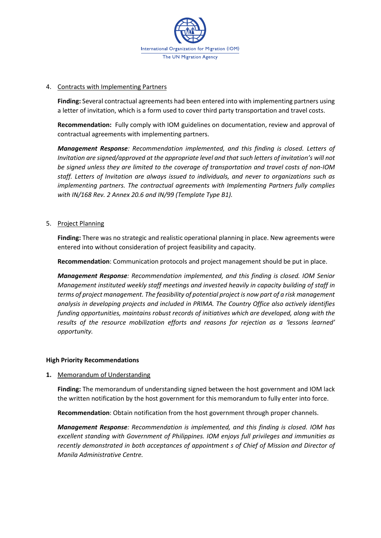

### 4. Contracts with Implementing Partners

**Finding:** Several contractual agreements had been entered into with implementing partners using a letter of invitation, which is a form used to cover third party transportation and travel costs.

**Recommendation:** Fully comply with IOM guidelines on documentation, review and approval of contractual agreements with implementing partners.

*Management Response: Recommendation implemented, and this finding is closed. Letters of Invitation are signed/approved at the appropriate level and that such letters of invitation's will not be signed unless they are limited to the coverage of transportation and travel costs of non-IOM staff. Letters of Invitation are always issued to individuals, and never to organizations such as implementing partners. The contractual agreements with Implementing Partners fully complies with IN/168 Rev. 2 Annex 20.6 and IN/99 (Template Type B1).*

## 5. Project Planning

**Finding:** There was no strategic and realistic operational planning in place. New agreements were entered into without consideration of project feasibility and capacity.

**Recommendation**: Communication protocols and project management should be put in place.

*Management Response: Recommendation implemented, and this finding is closed. IOM Senior Management instituted weekly staff meetings and invested heavily in capacity building of staff in terms of project management. The feasibility of potential project is now part of a risk management analysis in developing projects and included in PRIMA. The Country Office also actively identifies funding opportunities, maintains robust records of initiatives which are developed, along with the results of the resource mobilization efforts and reasons for rejection as a 'lessons learned' opportunity.* 

### **High Priority Recommendations**

### **1.** Memorandum of Understanding

**Finding:** The memorandum of understanding signed between the host government and IOM lack the written notification by the host government for this memorandum to fully enter into force.

**Recommendation**: Obtain notification from the host government through proper channels.

*Management Response: Recommendation is implemented, and this finding is closed. IOM has excellent standing with Government of Philippines. IOM enjoys full privileges and immunities as recently demonstrated in both acceptances of appointment s of Chief of Mission and Director of Manila Administrative Centre.*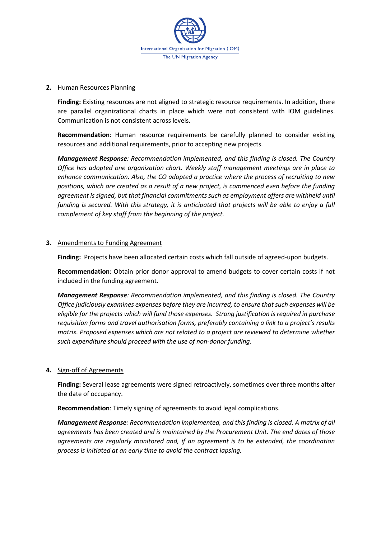

#### **2.** Human Resources Planning

**Finding:** Existing resources are not aligned to strategic resource requirements. In addition, there are parallel organizational charts in place which were not consistent with IOM guidelines. Communication is not consistent across levels.

**Recommendation**: Human resource requirements be carefully planned to consider existing resources and additional requirements, prior to accepting new projects.

*Management Response: Recommendation implemented, and this finding is closed. The Country Office has adopted one organization chart. Weekly staff management meetings are in place to enhance communication. Also, the CO adopted a practice where the process of recruiting to new positions, which are created as a result of a new project, is commenced even before the funding agreement is signed, but that financial commitments such as employment offers are withheld until funding is secured. With this strategy, it is anticipated that projects will be able to enjoy a full complement of key staff from the beginning of the project.*

#### **3.** Amendments to Funding Agreement

**Finding:** Projects have been allocated certain costs which fall outside of agreed-upon budgets.

**Recommendation**: Obtain prior donor approval to amend budgets to cover certain costs if not included in the funding agreement.

*Management Response: Recommendation implemented, and this finding is closed. The Country Office judiciously examines expenses before they are incurred, to ensure that such expenses will be eligible for the projects which will fund those expenses. Strong justification is required in purchase requisition forms and travel authorisation forms, preferably containing a link to a project's results matrix. Proposed expenses which are not related to a project are reviewed to determine whether such expenditure should proceed with the use of non-donor funding.*

#### **4.** Sign-off of Agreements

**Finding:** Several lease agreements were signed retroactively, sometimes over three months after the date of occupancy.

**Recommendation**: Timely signing of agreements to avoid legal complications.

*Management Response: Recommendation implemented, and this finding is closed. A matrix of all agreements has been created and is maintained by the Procurement Unit. The end dates of those agreements are regularly monitored and, if an agreement is to be extended, the coordination process is initiated at an early time to avoid the contract lapsing.*